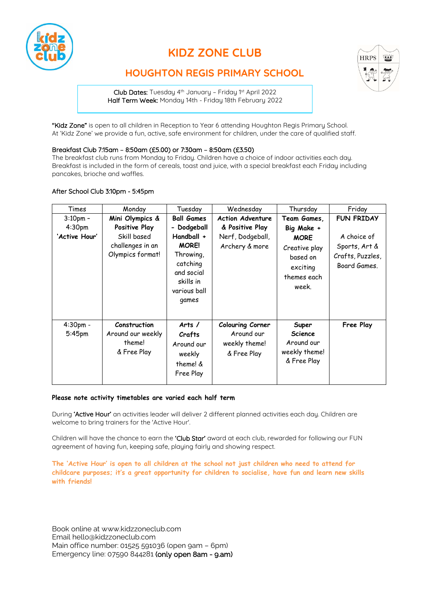

# **KIDZ ZONE CLUB**



# **HOUGHTON REGIS PRIMARY SCHOOL**

Club Dates: Tuesday 4th January – Friday 1st April 2022 Half Term Week: Monday 14th - Friday 18th February 2022

"Kidz Zone" is open to all children in Reception to Year 6 attending Houghton Regis Primary School. At 'Kidz Zone' we provide a fun, active, safe environment for children, under the care of qualified staff.

### Breakfast Club 7:15am – 8:50am (£5.00) or 7:30am – 8:50am (£3.50)

The breakfast club runs from Monday to Friday. Children have a choice of indoor activities each day. Breakfast is included in the form of cereals, toast and juice, with a special breakfast each Friday including pancakes, brioche and waffles.

### After School Club 3:10pm - 5:45pm

| Times                               | Monday                                                               | Tuesday                                                                                                                | Wednesday                                                      | Thursday                                                                                   | Friday                                                           |
|-------------------------------------|----------------------------------------------------------------------|------------------------------------------------------------------------------------------------------------------------|----------------------------------------------------------------|--------------------------------------------------------------------------------------------|------------------------------------------------------------------|
| $3:10$ pm -                         | Mini Olympics &                                                      | <b>Ball Games</b>                                                                                                      | <b>Action Adventure</b>                                        | Team Games,                                                                                | <b>FUN FRIDAY</b>                                                |
| 4:30 <sub>pm</sub><br>'Active Hour' | Positive Play<br>Skill based<br>challenges in an<br>Olympics format! | - Dodgeball<br>Handball +<br><b>MORE!</b><br>Throwing,<br>catching<br>and social<br>skills in<br>various ball<br>games | & Positive Play<br>Nerf, Dodgeball,<br>Archery & more          | Big Make +<br><b>MORE</b><br>Creative play<br>based on<br>exciting<br>themes each<br>week. | A choice of<br>Sports, Art &<br>Crafts, Puzzles,<br>Board Games. |
| 4:30pm -<br>5:45 <sub>pm</sub>      | Construction<br>Around our weekly<br>theme!<br>& Free Play           | Arts $/$<br>Crafts<br>Around our<br>weekly<br>theme! &<br>Free Play                                                    | Colouring Corner<br>Around our<br>weekly theme!<br>& Free Play | Super<br><b>Science</b><br>Around our<br>weekly theme!<br>& Free Play                      | Free Play                                                        |

#### **Please note activity timetables are varied each half term**

During 'Active Hour' an activities leader will deliver 2 different planned activities each day. Children are welcome to bring trainers for the 'Active Hour'.

Children will have the chance to earn the 'Club Star' award at each club, rewarded for following our FUN agreement of having fun, keeping safe, playing fairly and showing respect.

**The 'Active Hour' is open to all children at the school not just children who need to attend for childcare purposes; it's a great opportunity for children to socialise, have fun and learn new skills with friends!**

Book online a[t www.kidzzoneclub.com](http://www.tfgcamps.com/) Email [hello@kidzzoneclub.com](mailto:kidzzone@tfgcamps.com) Main office number: 01525 591036 (open 9am – 6pm) Emergency line: 07590 844281 (only open 8am - 9.am)